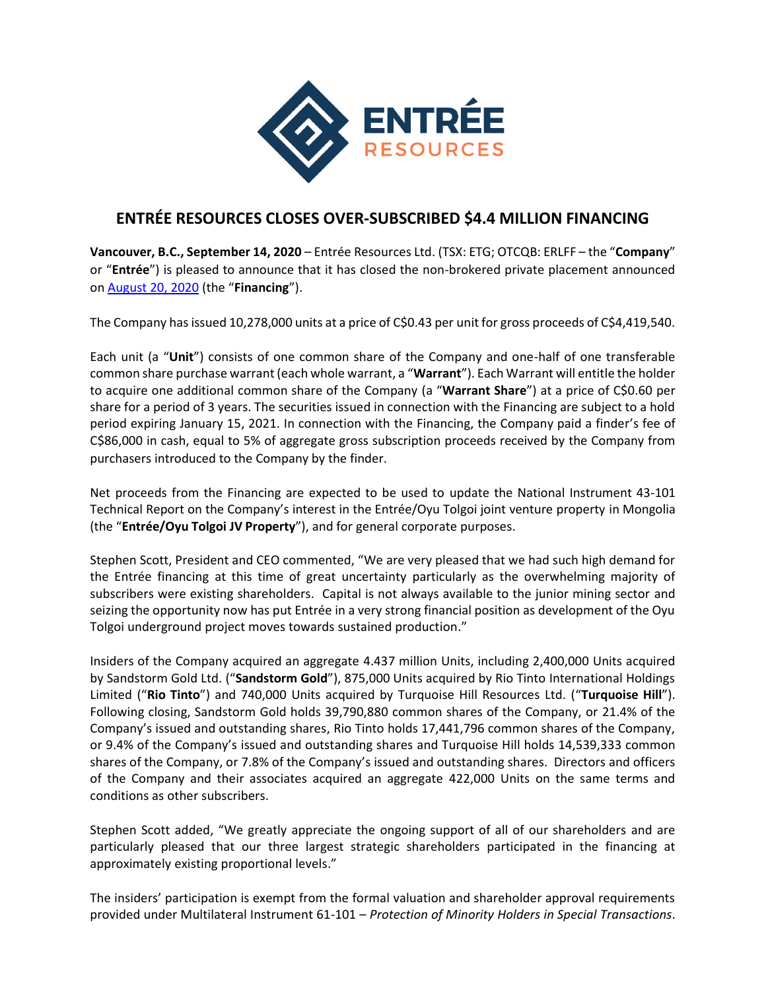

## **ENTRÉE RESOURCES CLOSES OVER-SUBSCRIBED \$4.4 MILLION FINANCING**

**Vancouver, B.C., September 14, 2020** – Entrée Resources Ltd. (TSX: ETG; OTCQB: ERLFF – the "**Company**" or "**Entrée**") is pleased to announce that it has closed the non-brokered private placement announced on [August 20, 2020](https://www.entreeresourcesltd.com/news/index.php?content_id=355) (the "**Financing**").

The Company has issued 10,278,000 units at a price of C\$0.43 per unit for gross proceeds of C\$4,419,540.

Each unit (a "**Unit**") consists of one common share of the Company and one-half of one transferable common share purchase warrant (each whole warrant, a "**Warrant**"). Each Warrant will entitle the holder to acquire one additional common share of the Company (a "**Warrant Share**") at a price of C\$0.60 per share for a period of 3 years. The securities issued in connection with the Financing are subject to a hold period expiring January 15, 2021. In connection with the Financing, the Company paid a finder's fee of C\$86,000 in cash, equal to 5% of aggregate gross subscription proceeds received by the Company from purchasers introduced to the Company by the finder.

Net proceeds from the Financing are expected to be used to update the National Instrument 43-101 Technical Report on the Company's interest in the Entrée/Oyu Tolgoi joint venture property in Mongolia (the "**Entrée/Oyu Tolgoi JV Property**"), and for general corporate purposes.

Stephen Scott, President and CEO commented, "We are very pleased that we had such high demand for the Entrée financing at this time of great uncertainty particularly as the overwhelming majority of subscribers were existing shareholders. Capital is not always available to the junior mining sector and seizing the opportunity now has put Entrée in a very strong financial position as development of the Oyu Tolgoi underground project moves towards sustained production."

Insiders of the Company acquired an aggregate 4.437 million Units, including 2,400,000 Units acquired by Sandstorm Gold Ltd. ("**Sandstorm Gold**"), 875,000 Units acquired by Rio Tinto International Holdings Limited ("**Rio Tinto**") and 740,000 Units acquired by Turquoise Hill Resources Ltd. ("**Turquoise Hill**"). Following closing, Sandstorm Gold holds 39,790,880 common shares of the Company, or 21.4% of the Company's issued and outstanding shares, Rio Tinto holds 17,441,796 common shares of the Company, or 9.4% of the Company's issued and outstanding shares and Turquoise Hill holds 14,539,333 common shares of the Company, or 7.8% of the Company's issued and outstanding shares. Directors and officers of the Company and their associates acquired an aggregate 422,000 Units on the same terms and conditions as other subscribers.

Stephen Scott added, "We greatly appreciate the ongoing support of all of our shareholders and are particularly pleased that our three largest strategic shareholders participated in the financing at approximately existing proportional levels."

The insiders' participation is exempt from the formal valuation and shareholder approval requirements provided under Multilateral Instrument 61-101 – *Protection of Minority Holders in Special Transactions*.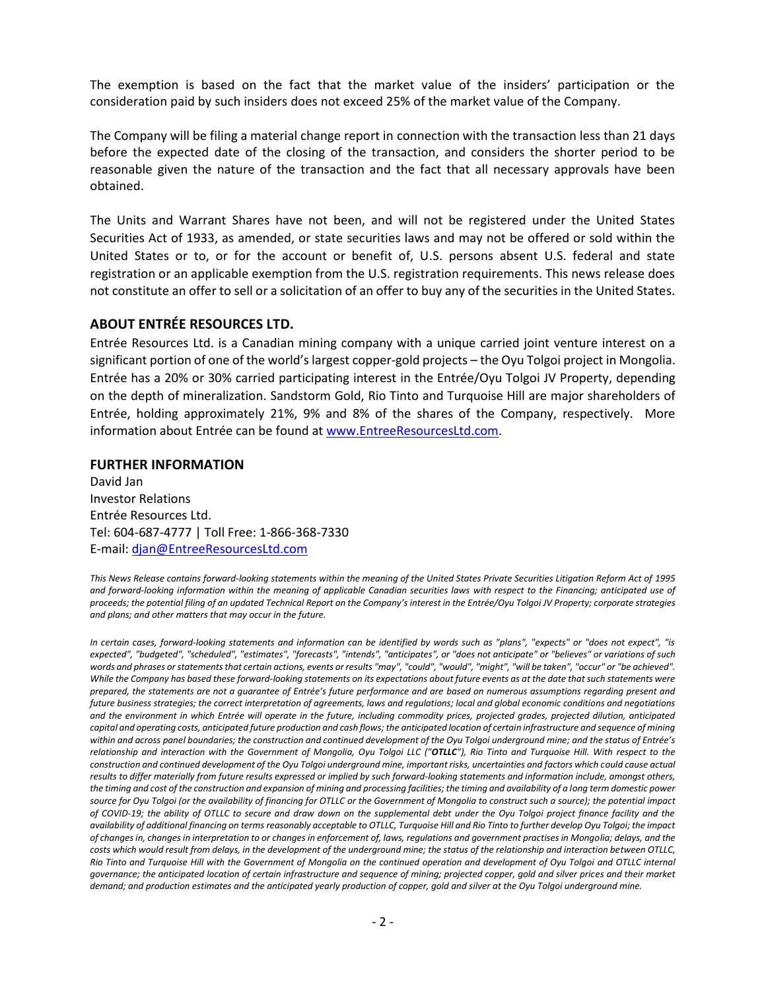The exemption is based on the fact that the market value of the insiders' participation or the consideration paid by such insiders does not exceed 25% of the market value of the Company.

The Company will be filing a material change report in connection with the transaction less than 21 days before the expected date of the closing of the transaction, and considers the shorter period to be reasonable given the nature of the transaction and the fact that all necessary approvals have been obtained.

The Units and Warrant Shares have not been, and will not be registered under the United States Securities Act of 1933, as amended, or state securities laws and may not be offered or sold within the United States or to, or for the account or benefit of, U.S. persons absent U.S. federal and state registration or an applicable exemption from the U.S. registration requirements. This news release does not constitute an offer to sell or a solicitation of an offer to buy any of the securities in the United States.

## **ABOUT ENTRÉE RESOURCES LTD.**

Entrée Resources Ltd. is a Canadian mining company with a unique carried joint venture interest on a significant portion of one of the world's largest copper-gold projects – the Oyu Tolgoi project in Mongolia. Entrée has a 20% or 30% carried participating interest in the Entrée/Oyu Tolgoi JV Property, depending on the depth of mineralization. Sandstorm Gold, Rio Tinto and Turquoise Hill are major shareholders of Entrée, holding approximately 21%, 9% and 8% of the shares of the Company, respectively. More information about Entrée can be found at [www.EntreeResourcesLtd.com.](http://www.entreeresourcesltd.com/)

## **FURTHER INFORMATION**

David Jan Investor Relations Entrée Resources Ltd. Tel: 604-687-4777 | Toll Free: 1-866-368-7330 E-mail: [djan@EntreeResourcesLtd.com](mailto:djan@EntreeResourcesLtd.com)

*This News Release contains forward-looking statements within the meaning of the United States Private Securities Litigation Reform Act of 1995 and forward-looking information within the meaning of applicable Canadian securities laws with respect to the Financing; anticipated use of proceeds; the potential filing of an updated Technical Report on the Company's interest in the Entrée/Oyu Tolgoi JV Property; corporate strategies and plans; and other matters that may occur in the future.*

*In certain cases, forward-looking statements and information can be identified by words such as "plans", "expects" or "does not expect", "is expected", "budgeted", "scheduled", "estimates", "forecasts", "intends", "anticipates", or "does not anticipate" or "believes" or variations of such words and phrases or statements that certain actions, events or results "may", "could", "would", "might", "will be taken", "occur" or "be achieved". While the Company has based these forward-looking statements on its expectations about future events as at the date that such statements were prepared, the statements are not a guarantee of Entrée's future performance and are based on numerous assumptions regarding present and future business strategies; the correct interpretation of agreements, laws and regulations; local and global economic conditions and negotiations and the environment in which Entrée will operate in the future, including commodity prices, projected grades, projected dilution, anticipated capital and operating costs, anticipated future production and cash flows; the anticipated location of certain infrastructure and sequence of mining within and across panel boundaries; the construction and continued development of the Oyu Tolgoi underground mine; and the status of Entrée's relationship and interaction with the Government of Mongolia, Oyu Tolgoi LLC ("OTLLC"), Rio Tinto and Turquoise Hill. With respect to the construction and continued development of the Oyu Tolgoi underground mine, important risks, uncertainties and factors which could cause actual results to differ materially from future results expressed or implied by such forward-looking statements and information include, amongst others, the timing and cost of the construction and expansion of mining and processing facilities; the timing and availability of a long term domestic power source for Oyu Tolgoi (or the availability of financing for OTLLC or the Government of Mongolia to construct such a source); the potential impact of COVID-19; the ability of OTLLC to secure and draw down on the supplemental debt under the Oyu Tolgoi project finance facility and the availability of additional financing on terms reasonably acceptable to OTLLC, Turquoise Hill and Rio Tinto to further develop Oyu Tolgoi; the impact of changes in, changes in interpretation to or changes in enforcement of, laws, regulations and government practises in Mongolia; delays, and the costs which would result from delays, in the development of the underground mine; the status of the relationship and interaction between OTLLC, Rio Tinto and Turquoise Hill with the Government of Mongolia on the continued operation and development of Oyu Tolgoi and OTLLC internal governance; the anticipated location of certain infrastructure and sequence of mining; projected copper, gold and silver prices and their market demand; and production estimates and the anticipated yearly production of copper, gold and silver at the Oyu Tolgoi underground mine.*